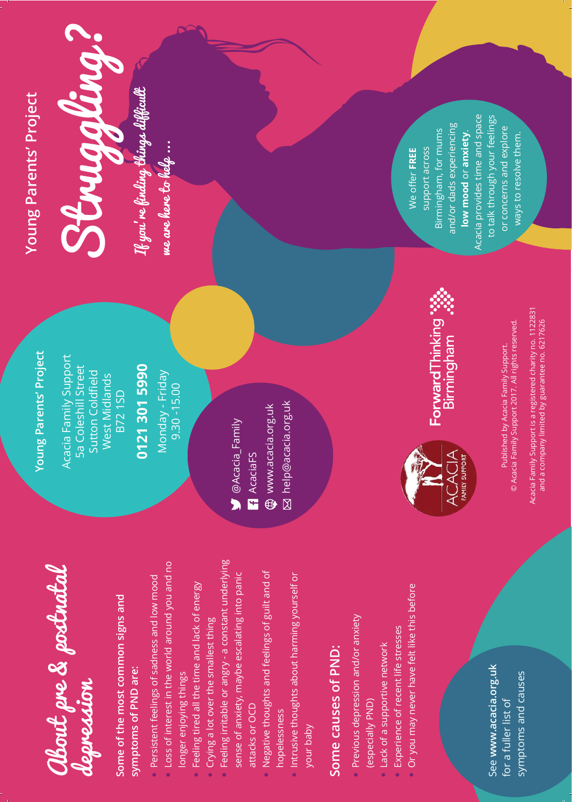| <b>Young Parents' Project</b>    | Struggling?                                                                       | If you're finding things difficult<br>me are here lo help                                                                                                                                                       |                                                                                                                                                                                                                                                       |                                                                                                                                          |                                                                                            | support across<br>We offer FREE                                                                                                                          | Acacia provides time and space<br>and/or dads experiencing<br>Birmingham, for mums<br>low mood or anxiety. | to talk through your feelings<br>or concerns and explore<br>ways to resolve them.                                                                                                                        |
|----------------------------------|-----------------------------------------------------------------------------------|-----------------------------------------------------------------------------------------------------------------------------------------------------------------------------------------------------------------|-------------------------------------------------------------------------------------------------------------------------------------------------------------------------------------------------------------------------------------------------------|------------------------------------------------------------------------------------------------------------------------------------------|--------------------------------------------------------------------------------------------|----------------------------------------------------------------------------------------------------------------------------------------------------------|------------------------------------------------------------------------------------------------------------|----------------------------------------------------------------------------------------------------------------------------------------------------------------------------------------------------------|
| Parents' Project<br><b>Zoung</b> | Acacia Family Support<br>5a Coleshill Street<br>Sutton Coldfield<br>West Midlands | 0121 301 5990<br>Monday - Friday<br>$9.30 - 15.00$<br><b>B72 1SD</b>                                                                                                                                            | $\bullet$ @Acacia_Family<br><b>R</b> AcaciaFS                                                                                                                                                                                                         | M help@acacia.org.uk<br>www.acacia.org.ukl                                                                                               |                                                                                            |                                                                                                                                                          | ForwardThinking<br>Birmingham<br>⋖<br>FAMILY SUPPORT                                                       | Acacia Family Support is a registered charity no. 1122831<br>and a company limited by guarantee no. 6217626<br>Published by Acacia Family Support.<br>© Acacia Family Support 2017. All rights reserved. |
|                                  | About pre & postratal<br>depression                                               | Loss of interest in the world around you and no<br>Persistent feelings of sadness and low mood<br>Some of the most common signs and<br>symptoms of PND are:<br>longer enjoying things<br>$\bullet$<br>$\bullet$ | Feeling irritable or angry - a constant underlying<br>sense of anxiety, maybe escalating into panic<br>Feeling tired all the time and lack of energy<br>Crying a lot over the smallest thing<br>attacks or OCD<br>$\bullet$<br>$\bullet$<br>$\bullet$ | Negative thoughts and feelings of guilt and of<br>Intrusive thoughts about harming yourself or<br>hopelessness<br>your baby<br>$\bullet$ | Previous depression and/or anxiety<br>Some causes of PND:<br>(especially PND)<br>$\bullet$ | Or you may never have felt like this before<br>Experience of recent life stresses<br>Lack of a supportive network<br>$\bullet$<br>$\bullet$<br>$\bullet$ |                                                                                                            | See www.acacia.org.uk<br>symptoms and causes<br>for a fuller list of                                                                                                                                     |